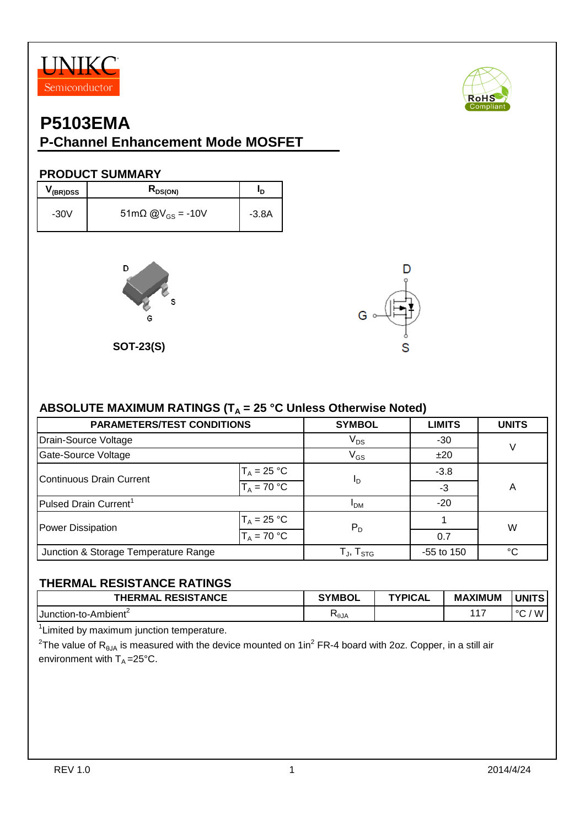



# **P5103EMA**

### **P-Channel Enhancement Mode MOSFET**

#### **PRODUCT SUMMARY**

| V (BR)DSS | $R_{DS(ON)}$                               | חי      |
|-----------|--------------------------------------------|---------|
| $-30V$    | $51 \text{m}\Omega \text{ @V}_{GS} = -10V$ | $-3.8A$ |



**SOT-23(S)**



#### ABSOLUTE MAXIMUM RATINGS (T<sub>A</sub> = 25 °C Unless Otherwise Noted)

| <b>PARAMETERS/TEST CONDITIONS</b>    |               | <b>SYMBOL</b>       | <b>LIMITS</b> | <b>UNITS</b> |  |
|--------------------------------------|---------------|---------------------|---------------|--------------|--|
| Drain-Source Voltage                 |               | $V_{DS}$            | $-30$         | $\vee$       |  |
| Gate-Source Voltage                  |               | $V_{GS}$            | ±20           |              |  |
| Continuous Drain Current             | $T_A = 25 °C$ |                     | $-3.8$        |              |  |
|                                      | $T_A = 70 °C$ | <sup>I</sup> D      | $-3$          | Α            |  |
| Pulsed Drain Current <sup>1</sup>    |               | <b>IDM</b>          | $-20$         |              |  |
| <b>Power Dissipation</b>             | $T_A = 25 °C$ | $P_D$<br>0.7        |               | W            |  |
|                                      | $T_A = 70 °C$ |                     |               |              |  |
| Junction & Storage Temperature Range |               | $T_{J}$ , $T_{STG}$ | $-55$ to 150  | $^{\circ}C$  |  |

#### **THERMAL RESISTANCE RATINGS**

| <b>RESISTANCE</b><br><b>HERMAL</b> | <b>SYMBOL</b>   | <b>TYPICAL</b> | <b>MAXIMUM</b> | <b>UNITS</b> |
|------------------------------------|-----------------|----------------|----------------|--------------|
| Junction-to-Ambient <sup>2</sup>   | $n_{\theta}$ JA |                | $.4 -$         | W<br>ے ،     |

<sup>1</sup> Limited by maximum junction temperature.

 $^{2}$ The value of R<sub>θJA</sub> is measured with the device mounted on 1in<sup>2</sup> FR-4 board with 2oz. Copper, in a still air environment with  $T_A = 25^{\circ}C$ .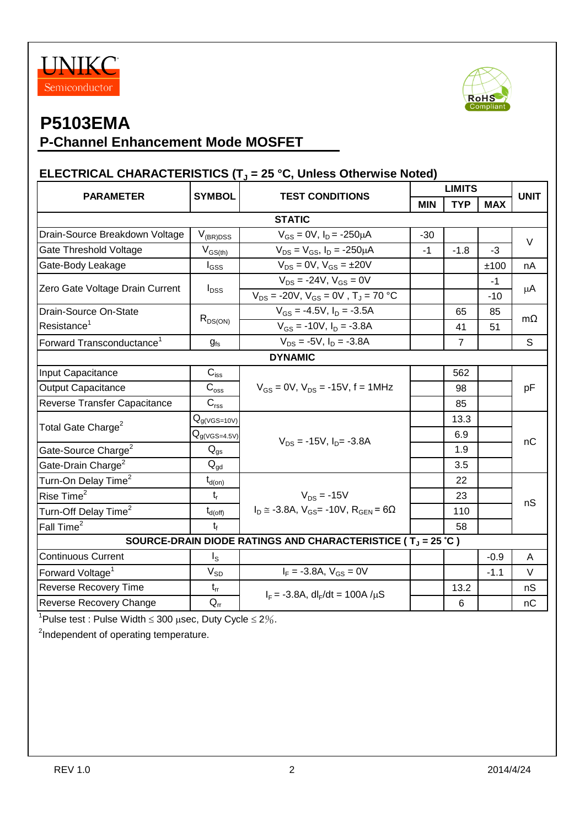



# **P5103EMA**

## **P-Channel Enhancement Mode MOSFET**

### **ELECTRICAL CHARACTERISTICS (T<sup>J</sup> = 25 °C, Unless Otherwise Noted)**

| <b>SYMBOL</b><br><b>PARAMETER</b><br><b>STATIC</b><br>Drain-Source Breakdown Voltage<br>$V_{\rm (BR)DSS}$<br>$V_{GS(th)}$<br>Gate Threshold Voltage<br>Gate-Body Leakage<br>$I_{GSS}$<br>Zero Gate Voltage Drain Current<br>$I_{DSS}$<br>Drain-Source On-State<br>$R_{DS(ON)}$<br>Resistance <sup>1</sup> | <b>TEST CONDITIONS</b><br>$V_{GS} = 0V$ , $I_D = -250 \mu A$<br>$V_{DS} = V_{GS}$ , $I_D = -250 \mu A$<br>$V_{DS} = 0V$ , $V_{GS} = \pm 20V$<br>$V_{DS}$ = -24V, $V_{GS}$ = 0V<br>$V_{DS}$ = -20V, $V_{GS}$ = 0V, $T_J$ = 70 °C<br>$V_{GS} = -4.5V$ , $I_D = -3.5A$<br>$V_{GS}$ = -10V, $I_D$ = -3.8A | <b>MIN</b><br>$-30$<br>$-1$ | <b>TYP</b><br>$-1.8$ | <b>MAX</b><br>$-3$<br>±100 | <b>UNIT</b><br>$\vee$<br>nA |  |  |  |
|-----------------------------------------------------------------------------------------------------------------------------------------------------------------------------------------------------------------------------------------------------------------------------------------------------------|-------------------------------------------------------------------------------------------------------------------------------------------------------------------------------------------------------------------------------------------------------------------------------------------------------|-----------------------------|----------------------|----------------------------|-----------------------------|--|--|--|
|                                                                                                                                                                                                                                                                                                           |                                                                                                                                                                                                                                                                                                       |                             |                      |                            |                             |  |  |  |
|                                                                                                                                                                                                                                                                                                           |                                                                                                                                                                                                                                                                                                       |                             |                      |                            |                             |  |  |  |
|                                                                                                                                                                                                                                                                                                           |                                                                                                                                                                                                                                                                                                       |                             |                      |                            |                             |  |  |  |
|                                                                                                                                                                                                                                                                                                           |                                                                                                                                                                                                                                                                                                       |                             |                      |                            |                             |  |  |  |
|                                                                                                                                                                                                                                                                                                           |                                                                                                                                                                                                                                                                                                       |                             |                      |                            |                             |  |  |  |
|                                                                                                                                                                                                                                                                                                           |                                                                                                                                                                                                                                                                                                       |                             |                      | $-1$                       |                             |  |  |  |
|                                                                                                                                                                                                                                                                                                           |                                                                                                                                                                                                                                                                                                       |                             |                      | $-10$                      | μA                          |  |  |  |
|                                                                                                                                                                                                                                                                                                           |                                                                                                                                                                                                                                                                                                       |                             | 65                   | 85                         | $m\Omega$                   |  |  |  |
|                                                                                                                                                                                                                                                                                                           |                                                                                                                                                                                                                                                                                                       |                             | 41                   | 51                         |                             |  |  |  |
| Forward Transconductance <sup>1</sup><br>$g_{\rm fs}$                                                                                                                                                                                                                                                     | $V_{DS}$ = -5V, $I_D$ = -3.8A                                                                                                                                                                                                                                                                         |                             | $\overline{7}$       |                            | S                           |  |  |  |
| <b>DYNAMIC</b>                                                                                                                                                                                                                                                                                            |                                                                                                                                                                                                                                                                                                       |                             |                      |                            |                             |  |  |  |
| $C_{iss}$<br>Input Capacitance                                                                                                                                                                                                                                                                            | $V_{GS} = 0V$ , $V_{DS} = -15V$ , f = 1MHz                                                                                                                                                                                                                                                            |                             | 562                  |                            | pF                          |  |  |  |
| $\mathbf{C}_{\text{oss}}$<br><b>Output Capacitance</b>                                                                                                                                                                                                                                                    |                                                                                                                                                                                                                                                                                                       |                             | 98                   |                            |                             |  |  |  |
| $C_{\text{rss}}$<br>Reverse Transfer Capacitance                                                                                                                                                                                                                                                          |                                                                                                                                                                                                                                                                                                       |                             |                      |                            |                             |  |  |  |
| $Q_{g(VGS=10V)}$<br>Total Gate Charge <sup>2</sup>                                                                                                                                                                                                                                                        | $V_{DS}$ = -15V, $I_{D}$ = -3.8A                                                                                                                                                                                                                                                                      |                             | 13.3                 |                            | nC                          |  |  |  |
| $\mathsf{Q}_{\mathsf{g(VGS=4.5V)}}$                                                                                                                                                                                                                                                                       |                                                                                                                                                                                                                                                                                                       |                             | 6.9                  |                            |                             |  |  |  |
| Gate-Source Charge <sup>2</sup><br>$Q_{gs}$                                                                                                                                                                                                                                                               |                                                                                                                                                                                                                                                                                                       |                             | 1.9                  |                            |                             |  |  |  |
| Gate-Drain Charge <sup>2</sup><br>$Q_{qd}$                                                                                                                                                                                                                                                                |                                                                                                                                                                                                                                                                                                       |                             | 3.5                  |                            |                             |  |  |  |
| Turn-On Delay Time <sup>2</sup><br>$t_{d(on)}$                                                                                                                                                                                                                                                            |                                                                                                                                                                                                                                                                                                       |                             | 22                   |                            |                             |  |  |  |
| Rise Time <sup>2</sup><br>$t_{r}$                                                                                                                                                                                                                                                                         | $V_{DS}$ = -15V                                                                                                                                                                                                                                                                                       |                             | 23                   |                            |                             |  |  |  |
| Turn-Off Delay Time <sup>2</sup><br>$t_{d(\text{off})}$                                                                                                                                                                                                                                                   | $I_D \approx -3.8$ A, $V_{GS} = -10V$ , $R_{GEN} = 6\Omega$                                                                                                                                                                                                                                           |                             | 110                  |                            | nS                          |  |  |  |
| Fall Time <sup>2</sup><br>$t_{f}$                                                                                                                                                                                                                                                                         |                                                                                                                                                                                                                                                                                                       |                             | 58                   |                            |                             |  |  |  |
| SOURCE-DRAIN DIODE RATINGS AND CHARACTERISTICE ( $T_J = 25 \degree C$ )                                                                                                                                                                                                                                   |                                                                                                                                                                                                                                                                                                       |                             |                      |                            |                             |  |  |  |
| <b>Continuous Current</b><br>$I_{\rm S}$                                                                                                                                                                                                                                                                  |                                                                                                                                                                                                                                                                                                       |                             |                      | $-0.9$                     | A                           |  |  |  |
| $V_{SD}$<br>Forward Voltage <sup>1</sup>                                                                                                                                                                                                                                                                  | $I_F = -3.8A$ , $V_{GS} = 0V$                                                                                                                                                                                                                                                                         |                             |                      | $-1.1$                     | $\vee$                      |  |  |  |
| <b>Reverse Recovery Time</b><br>$t_{rr}$                                                                                                                                                                                                                                                                  |                                                                                                                                                                                                                                                                                                       |                             | 13.2                 |                            | nS                          |  |  |  |
| Reverse Recovery Change<br>$\mathsf{Q}_\mathsf{rr}$                                                                                                                                                                                                                                                       | $I_F = -3.8A$ , dl <sub>F</sub> /dt = 100A / $\mu$ S                                                                                                                                                                                                                                                  |                             | 6                    |                            | nC                          |  |  |  |

<sup>1</sup>Pulse test : Pulse Width  $\leq 300$  µsec, Duty Cycle  $\leq 2\%$ .

<sup>2</sup>Independent of operating temperature.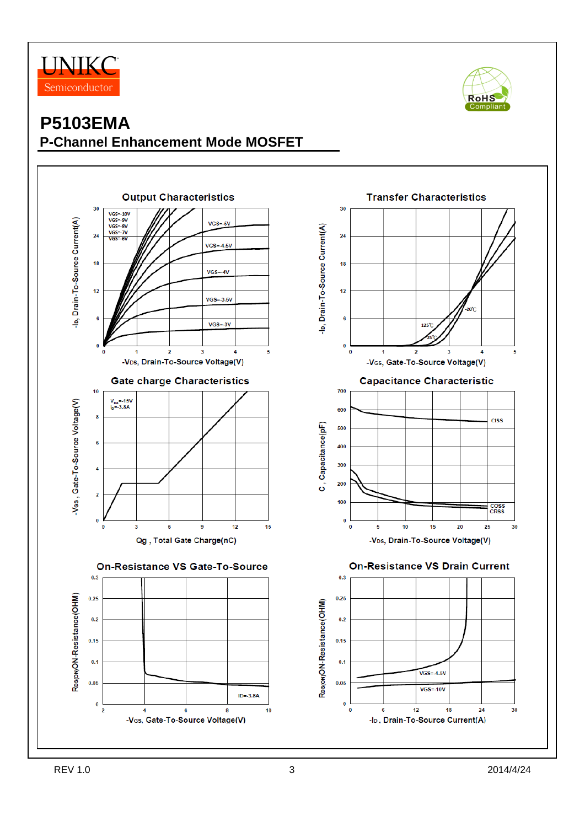



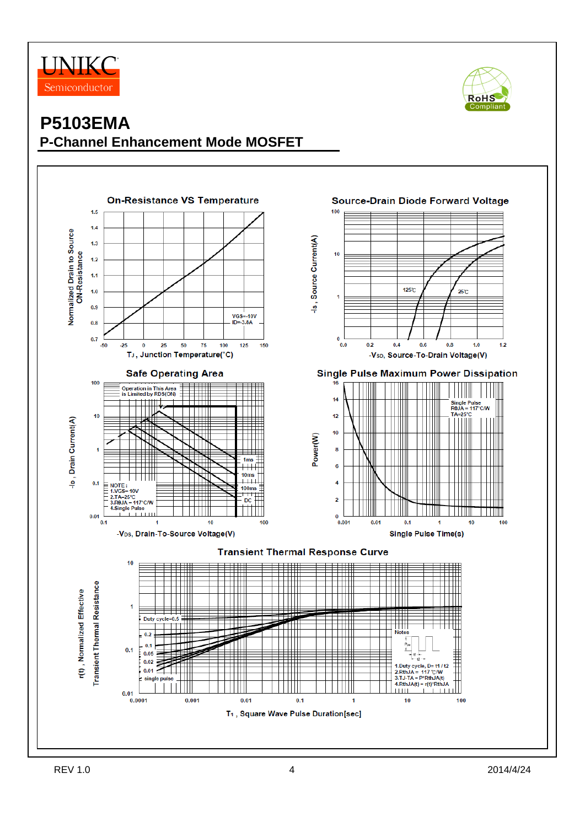



## **P5103EMA P-Channel Enhancement Mode MOSFET**